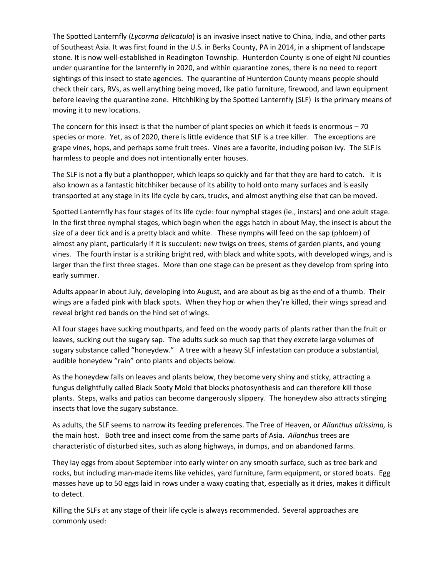The Spotted Lanternfly (*Lycorma delicatula*) is an invasive insect native to China, India, and other parts of Southeast Asia. It was first found in the U.S. in Berks County, PA in 2014, in a shipment of landscape stone. It is now well-established in Readington Township. Hunterdon County is one of eight NJ counties under quarantine for the lanternfly in 2020, and within quarantine zones, there is no need to report sightings of this insect to state agencies. The quarantine of Hunterdon County means people should check their cars, RVs, as well anything being moved, like patio furniture, firewood, and lawn equipment before leaving the quarantine zone. Hitchhiking by the Spotted Lanternfly (SLF) is the primary means of moving it to new locations.

The concern for this insect is that the number of plant species on which it feeds is enormous – 70 species or more. Yet, as of 2020, there is little evidence that SLF is a tree killer. The exceptions are grape vines, hops, and perhaps some fruit trees. Vines are a favorite, including poison ivy. The SLF is harmless to people and does not intentionally enter houses.

The SLF is not a fly but a planthopper, which leaps so quickly and far that they are hard to catch. It is also known as a fantastic hitchhiker because of its ability to hold onto many surfaces and is easily transported at any stage in its life cycle by cars, trucks, and almost anything else that can be moved.

Spotted Lanternfly has four stages of its life cycle: four nymphal stages (ie., instars) and one adult stage. In the first three nymphal stages, which begin when the eggs hatch in about May, the insect is about the size of a deer tick and is a pretty black and white. These nymphs will feed on the sap (phloem) of almost any plant, particularly if it is succulent: new twigs on trees, stems of garden plants, and young vines. The fourth instar is a striking bright red, with black and white spots, with developed wings, and is larger than the first three stages. More than one stage can be present as they develop from spring into early summer.

Adults appear in about July, developing into August, and are about as big as the end of a thumb. Their wings are a faded pink with black spots. When they hop or when they're killed, their wings spread and reveal bright red bands on the hind set of wings.

All four stages have sucking mouthparts, and feed on the woody parts of plants rather than the fruit or leaves, sucking out the sugary sap. The adults suck so much sap that they excrete large volumes of sugary substance called "honeydew." A tree with a heavy SLF infestation can produce a substantial, audible honeydew "rain" onto plants and objects below.

As the honeydew falls on leaves and plants below, they become very shiny and sticky, attracting a fungus delightfully called Black Sooty Mold that blocks photosynthesis and can therefore kill those plants. Steps, walks and patios can become dangerously slippery. The honeydew also attracts stinging insects that love the sugary substance.

As adults, the SLF seems to narrow its feeding preferences. The Tree of Heaven, or *Ailanthus altissima,* is the main host. Both tree and insect come from the same parts of Asia. *Ailanthus* trees are characteristic of disturbed sites, such as along highways, in dumps, and on abandoned farms.

They lay eggs from about September into early winter on any smooth surface, such as tree bark and rocks, but including man-made items like vehicles, yard furniture, farm equipment, or stored boats. Egg masses have up to 50 eggs laid in rows under a waxy coating that, especially as it dries, makes it difficult to detect.

Killing the SLFs at any stage of their life cycle is always recommended. Several approaches are commonly used: